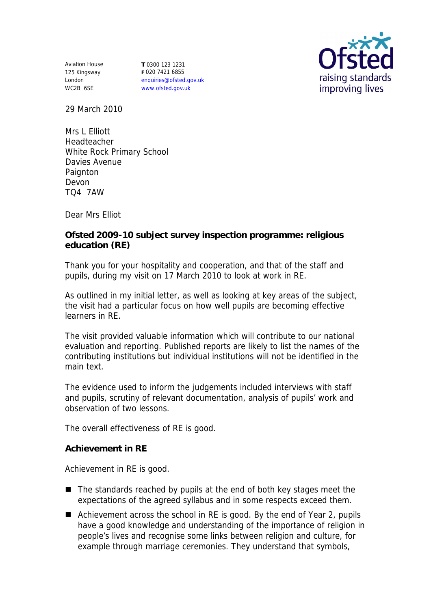Aviation House 125 Kingsway London WC2B 6SE

**T** 0300 123 1231 **F** 020 7421 6855 enquiries@ofsted.gov.uk www.ofsted.gov.uk



29 March 2010

Mrs L Elliott Headteacher White Rock Primary School Davies Avenue **Paignton** Devon TQ4 7AW

Dear Mrs Elliot

**Ofsted 2009-10 subject survey inspection programme: religious education (RE)**

Thank you for your hospitality and cooperation, and that of the staff and pupils, during my visit on 17 March 2010 to look at work in RE.

As outlined in my initial letter, as well as looking at key areas of the subject, the visit had a particular focus on how well pupils are becoming effective learners in RE.

The visit provided valuable information which will contribute to our national evaluation and reporting. Published reports are likely to list the names of the contributing institutions but individual institutions will not be identified in the main text.

The evidence used to inform the judgements included interviews with staff and pupils, scrutiny of relevant documentation, analysis of pupils' work and observation of two lessons.

The overall effectiveness of RE is good.

**Achievement in RE** 

Achievement in RE is good.

- $\blacksquare$  The standards reached by pupils at the end of both key stages meet the expectations of the agreed syllabus and in some respects exceed them.
- Achievement across the school in RE is good. By the end of Year 2, pupils have a good knowledge and understanding of the importance of religion in people's lives and recognise some links between religion and culture, for example through marriage ceremonies. They understand that symbols,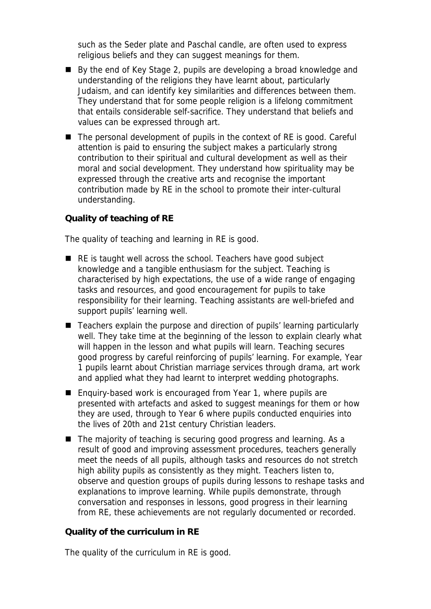such as the Seder plate and Paschal candle, are often used to express religious beliefs and they can suggest meanings for them.

- By the end of Key Stage 2, pupils are developing a broad knowledge and understanding of the religions they have learnt about, particularly Judaism, and can identify key similarities and differences between them. They understand that for some people religion is a lifelong commitment that entails considerable self-sacrifice. They understand that beliefs and values can be expressed through art.
- The personal development of pupils in the context of RE is good. Careful attention is paid to ensuring the subject makes a particularly strong contribution to their spiritual and cultural development as well as their moral and social development. They understand how spirituality may be expressed through the creative arts and recognise the important contribution made by RE in the school to promote their inter-cultural understanding.

## **Quality of teaching of RE**

The quality of teaching and learning in RE is good.

- RE is taught well across the school. Teachers have good subject knowledge and a tangible enthusiasm for the subject. Teaching is characterised by high expectations, the use of a wide range of engaging tasks and resources, and good encouragement for pupils to take responsibility for their learning. Teaching assistants are well-briefed and support pupils' learning well.
- Teachers explain the purpose and direction of pupils' learning particularly well. They take time at the beginning of the lesson to explain clearly what will happen in the lesson and what pupils will learn. Teaching secures good progress by careful reinforcing of pupils' learning. For example, Year 1 pupils learnt about Christian marriage services through drama, art work and applied what they had learnt to interpret wedding photographs.
- Enquiry-based work is encouraged from Year 1, where pupils are presented with artefacts and asked to suggest meanings for them or how they are used, through to Year 6 where pupils conducted enquiries into the lives of 20th and 21st century Christian leaders.
- The majority of teaching is securing good progress and learning. As a result of good and improving assessment procedures, teachers generally meet the needs of all pupils, although tasks and resources do not stretch high ability pupils as consistently as they might. Teachers listen to, observe and question groups of pupils during lessons to reshape tasks and explanations to improve learning. While pupils demonstrate, through conversation and responses in lessons, good progress in their learning from RE, these achievements are not regularly documented or recorded.

**Quality of the curriculum in RE** 

The quality of the curriculum in RE is good.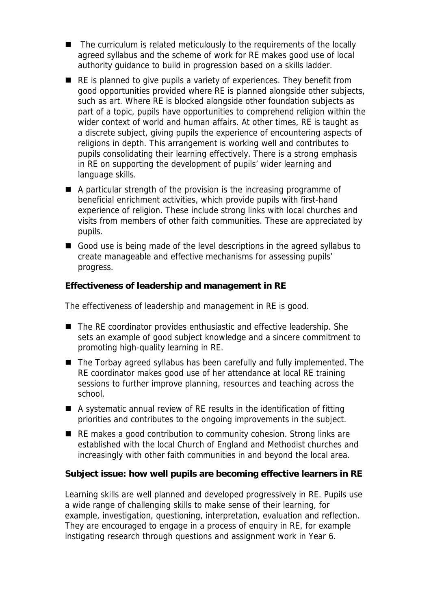- The curriculum is related meticulously to the requirements of the locally agreed syllabus and the scheme of work for RE makes good use of local authority guidance to build in progression based on a skills ladder.
- RE is planned to give pupils a variety of experiences. They benefit from good opportunities provided where RE is planned alongside other subjects, such as art. Where RE is blocked alongside other foundation subjects as part of a topic, pupils have opportunities to comprehend religion within the wider context of world and human affairs. At other times, RE is taught as a discrete subject, giving pupils the experience of encountering aspects of religions in depth. This arrangement is working well and contributes to pupils consolidating their learning effectively. There is a strong emphasis in RE on supporting the development of pupils' wider learning and language skills.
- A particular strength of the provision is the increasing programme of beneficial enrichment activities, which provide pupils with first-hand experience of religion. These include strong links with local churches and visits from members of other faith communities. These are appreciated by pupils.
- Good use is being made of the level descriptions in the agreed syllabus to create manageable and effective mechanisms for assessing pupils' progress.

**Effectiveness of leadership and management in RE** 

The effectiveness of leadership and management in RE is good.

- The RE coordinator provides enthusiastic and effective leadership. She sets an example of good subject knowledge and a sincere commitment to promoting high-quality learning in RE.
- The Torbay agreed syllabus has been carefully and fully implemented. The RE coordinator makes good use of her attendance at local RE training sessions to further improve planning, resources and teaching across the school.
- A systematic annual review of RE results in the identification of fitting priorities and contributes to the ongoing improvements in the subject.
- RE makes a good contribution to community cohesion. Strong links are established with the local Church of England and Methodist churches and increasingly with other faith communities in and beyond the local area.

**Subject issue: how well pupils are becoming effective learners in RE**

Learning skills are well planned and developed progressively in RE. Pupils use a wide range of challenging skills to make sense of their learning, for example, investigation, questioning, interpretation, evaluation and reflection. They are encouraged to engage in a process of enquiry in RE, for example instigating research through questions and assignment work in Year 6.